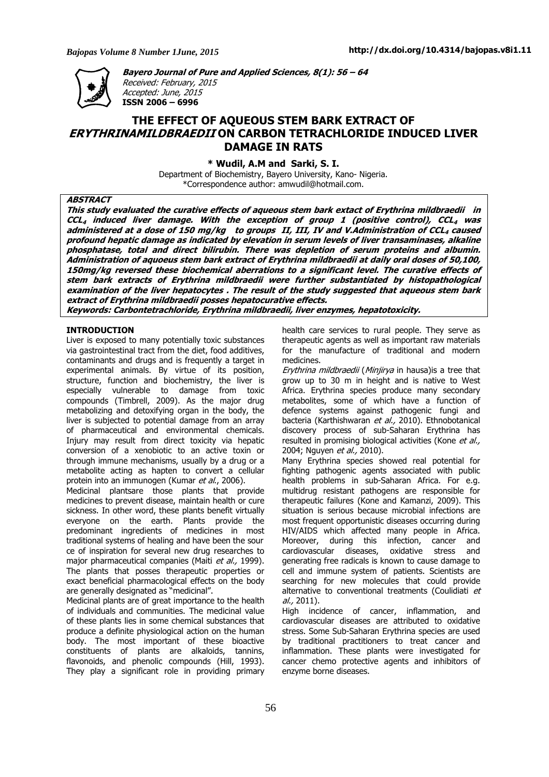

**Bayero Journal of Pure and Applied Sciences, 8(1): 56 – 64**  Received: February, 2015 Accepted: June, 2015 **ISSN 2006 – 6996** 

# **THE EFFECT OF AQUEOUS STEM BARK EXTRACT OF ERYTHRINAMILDBRAEDII ON CARBON TETRACHLORIDE INDUCED LIVER DAMAGE IN RATS**

**\* Wudil, A.M and Sarki, S. I.** 

Department of Biochemistry, Bayero University, Kano- Nigeria. \*Correspondence author: amwudil@hotmail.com.

# **ABSTRACT**

**This study evaluated the curative effects of aqueous stem bark extact of Erythrina mildbraedii in CCL4 induced liver damage. With the exception of group 1 (positive control), CCL4 was administered at a dose of 150 mg/kg to groups II, III, IV and V.Administration of CCL4 caused profound hepatic damage as indicated by elevation in serum levels of liver transaminases, alkaline phosphatase, total and direct bilirubin. There was depletion of serum proteins and albumin. Administration of aquoeus stem bark extract of Erythrina mildbraedii at daily oral doses of 50,100, 150mg/kg reversed these biochemical aberrations to a significant level. The curative effects of stem bark extracts of Erythrina mildbraedii were further substantiated by histopathological examination of the liver hepatocytes . The result of the study suggested that aqueous stem bark extract of Erythrina mildbraedii posses hepatocurative effects. Keywords: Carbontetrachloride, Erythrina mildbraedii, liver enzymes, hepatotoxicity.** 

## **INTRODUCTION**

Liver is exposed to many potentially toxic substances via gastrointestinal tract from the diet, food additives, contaminants and drugs and is frequently a target in experimental animals. By virtue of its position, structure, function and biochemistry, the liver is especially vulnerable to damage from toxic compounds (Timbrell, 2009). As the major drug metabolizing and detoxifying organ in the body, the liver is subjected to potential damage from an array of pharmaceutical and environmental chemicals. Injury may result from direct toxicity via hepatic conversion of a xenobiotic to an active toxin or through immune mechanisms, usually by a drug or a metabolite acting as hapten to convert a cellular protein into an immunogen (Kumar et al., 2006).

Medicinal plantsare those plants that provide medicines to prevent disease, maintain health or cure sickness. In other word, these plants benefit virtually everyone on the earth. Plants provide the predominant ingredients of medicines in most traditional systems of healing and have been the sour ce of inspiration for several new drug researches to major pharmaceutical companies (Maiti et al., 1999). The plants that posses therapeutic properties or exact beneficial pharmacological effects on the body are generally designated as "medicinal".

Medicinal plants are of great importance to the health of individuals and communities. The medicinal value of these plants lies in some chemical substances that produce a definite physiological action on the human body. The most important of these bioactive constituents of plants are alkaloids, tannins, flavonoids, and phenolic compounds (Hill, 1993). They play a significant role in providing primary health care services to rural people. They serve as therapeutic agents as well as important raw materials for the manufacture of traditional and modern medicines.

Erythrina mildbraedii (Minjirva in hausa) is a tree that grow up to 30 m in height and is native to West Africa. Erythrina species produce many secondary metabolites, some of which have a function of defence systems against pathogenic fungi and bacteria (Karthishwaran et al., 2010). Ethnobotanical discovery process of sub-Saharan Erythrina has resulted in promising biological activities (Kone et al., 2004; Nguyen *et al.*, 2010).

Many Erythrina species showed real potential for fighting pathogenic agents associated with public health problems in sub-Saharan Africa. For e.g. multidrug resistant pathogens are responsible for therapeutic failures (Kone and Kamanzi, 2009). This situation is serious because microbial infections are most frequent opportunistic diseases occurring during HIV/AIDS which affected many people in Africa. Moreover, during this infection, cancer and cardiovascular diseases, oxidative stress and generating free radicals is known to cause damage to cell and immune system of patients. Scientists are searching for new molecules that could provide alternative to conventional treatments (Coulidiati et al., 2011).

High incidence of cancer, inflammation, and cardiovascular diseases are attributed to oxidative stress. Some Sub-Saharan Erythrina species are used by traditional practitioners to treat cancer and inflammation. These plants were investigated for cancer chemo protective agents and inhibitors of enzyme borne diseases.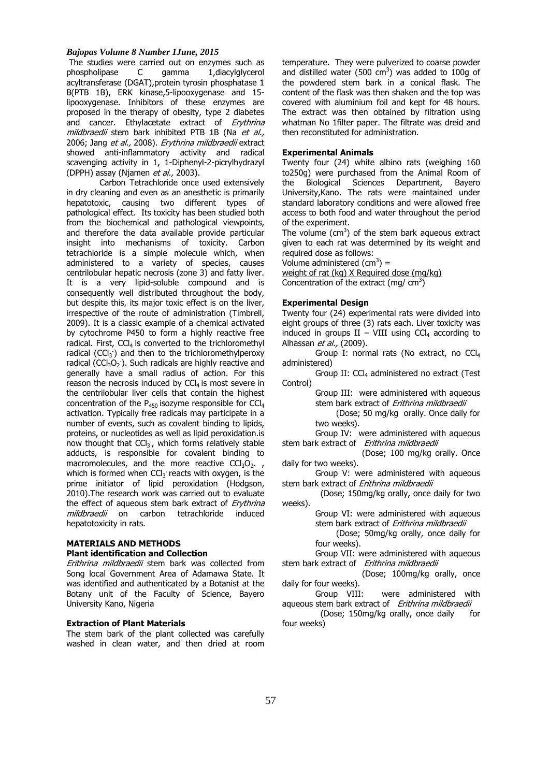#### *Bajopas Volume 8 Number 1June, 2015*

 The studies were carried out on enzymes such as phospholipase C gamma 1,diacylglycerol acyltransferase (DGAT),protein tyrosin phosphatase 1 B(PTB 1B), ERK kinase,5-lipooxygenase and 15 lipooxygenase. Inhibitors of these enzymes are proposed in the therapy of obesity, type 2 diabetes and cancer. Ethylacetate extract of Erythrina mildbraedii stem bark inhibited PTB 1B (Na et al., 2006; Jang et al., 2008). Erythrina mildbraedii extract showed anti-inflammatory activity and radical scavenging activity in 1, 1-Diphenyl-2-picrylhydrazyl (DPPH) assay (Njamen et al., 2003).

Carbon Tetrachloride once used extensively in dry cleaning and even as an anesthetic is primarily hepatotoxic, causing two different types of pathological effect. Its toxicity has been studied both from the biochemical and pathological viewpoints, and therefore the data available provide particular insight into mechanisms of toxicity. Carbon tetrachloride is a simple molecule which, when administered to a variety of species, causes centrilobular hepatic necrosis (zone 3) and fatty liver. It is a very lipid-soluble compound and is consequently well distributed throughout the body, but despite this, its major toxic effect is on the liver, irrespective of the route of administration (Timbrell, 2009). It is a classic example of a chemical activated by cytochrome P450 to form a highly reactive free radical. First, CCl<sub>4</sub> is converted to the trichloromethyl radical (CCl<sub>3</sub><sup>·</sup>) and then to the trichloromethylperoxy radical (CCl<sub>3</sub>O<sub>2</sub>). Such radicals are highly reactive and generally have a small radius of action. For this reason the necrosis induced by  $CCl<sub>4</sub>$  is most severe in the centrilobular liver cells that contain the highest concentration of the  $P_{450}$  isozyme responsible for CCl<sub>4</sub> activation. Typically free radicals may participate in a number of events, such as covalent binding to lipids, proteins, or nucleotides as well as lipid peroxidation.is now thought that CCI<sub>3</sub>, which forms relatively stable adducts, is responsible for covalent binding to macromolecules, and the more reactive  $CCI<sub>3</sub>O<sub>2</sub>$ ., which is formed when  $CCI<sub>3</sub>$  reacts with oxygen, is the prime initiator of lipid peroxidation (Hodgson, 2010).The research work was carried out to evaluate the effect of aqueous stem bark extract of Erythrina mildbraedii on carbon tetrachloride induced hepatotoxicity in rats.

# **MATERIALS AND METHODS**

#### **Plant identification and Collection**

Erithrina mildbraedii stem bark was collected from Song local Government Area of Adamawa State. It was identified and authenticated by a Botanist at the Botany unit of the Faculty of Science, Bayero University Kano, Nigeria

#### **Extraction of Plant Materials**

The stem bark of the plant collected was carefully washed in clean water, and then dried at room temperature. They were pulverized to coarse powder and distilled water (500  $\text{cm}^3$ ) was added to 100g of the powdered stem bark in a conical flask. The content of the flask was then shaken and the top was covered with aluminium foil and kept for 48 hours. The extract was then obtained by filtration using whatman No 1filter paper. The filtrate was dreid and then reconstituted for administration.

#### **Experimental Animals**

Twenty four (24) white albino rats (weighing 160 to250g) were purchased from the Animal Room of the Biological Sciences Department, Bayero University,Kano. The rats were maintained under standard laboratory conditions and were allowed free access to both food and water throughout the period of the experiment.

The volume ( $\text{cm}^3$ ) of the stem bark aqueous extract given to each rat was determined by its weight and required dose as follows:

Volume administered  $\text{(cm}^3\text{)}$  =

weight of rat (kg) X Required dose (mg/kg) Concentration of the extract (mg/  $\text{cm}^3$ )

#### **Experimental Design**

Twenty four (24) experimental rats were divided into eight groups of three (3) rats each. Liver toxicity was induced in groups II – VIII using  $CCI<sub>4</sub>$  according to Alhassan et al., (2009).

Group I: normal rats (No extract, no CCl<sub>4</sub> administered)

Group II: CCl<sub>4</sub> administered no extract (Test Control)

> Group III: were administered with aqueous stem bark extract of Erithrina mildbraedii

 (Dose; 50 mg/kg orally. Once daily for two weeks).

Group IV: were administered with aqueous stem bark extract of Erithrina mildbraedii

 (Dose; 100 mg/kg orally. Once daily for two weeks).

Group V: were administered with aqueous stem bark extract of Erithrina mildbraedii

 (Dose; 150mg/kg orally, once daily for two weeks).

Group VI: were administered with aqueous stem bark extract of Erithrina mildbraedii

 (Dose; 50mg/kg orally, once daily for four weeks).

Group VII: were administered with aqueous stem bark extract of *Erithrina mildbraedii* 

 (Dose; 100mg/kg orally, once daily for four weeks).

Group VIII: were administered with aqueous stem bark extract of Erithrina mildbraedii

 (Dose; 150mg/kg orally, once daily for four weeks)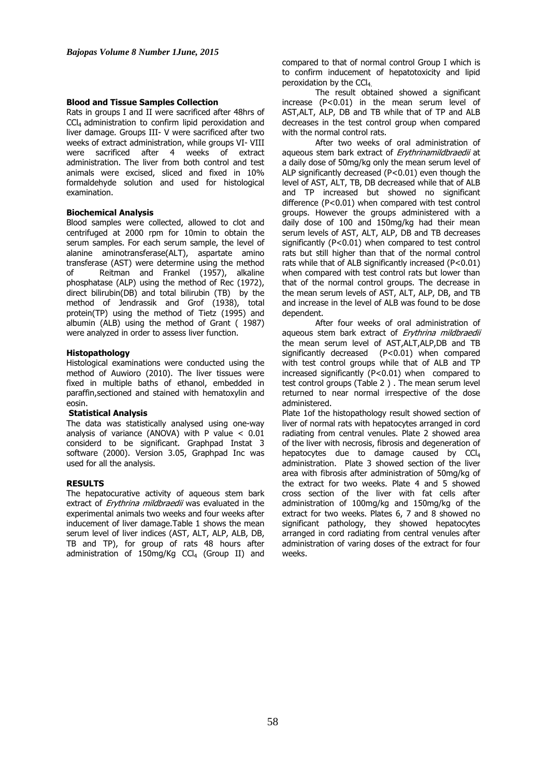#### **Blood and Tissue Samples Collection**

Rats in groups I and II were sacrificed after 48hrs of CCl4 administration to confirm lipid peroxidation and liver damage. Groups III- V were sacrificed after two weeks of extract administration, while groups VI- VIII were sacrificed after 4 weeks of extract administration. The liver from both control and test animals were excised, sliced and fixed in 10% formaldehyde solution and used for histological examination.

#### **Biochemical Analysis**

Blood samples were collected, allowed to clot and centrifuged at 2000 rpm for 10min to obtain the serum samples. For each serum sample, the level of alanine aminotransferase(ALT), aspartate amino transferase (AST) were determine using the method of Reitman and Frankel (1957), alkaline phosphatase (ALP) using the method of Rec (1972), direct bilirubin(DB) and total bilirubin (TB) by the method of Jendrassik and Grof (1938), total protein(TP) using the method of Tietz (1995) and albumin (ALB) using the method of Grant ( 1987) were analyzed in order to assess liver function.

#### **Histopathology**

Histological examinations were conducted using the method of Auwioro (2010). The liver tissues were fixed in multiple baths of ethanol, embedded in paraffin,sectioned and stained with hematoxylin and eosin.

#### **Statistical Analysis**

The data was statistically analysed using one-way analysis of variance (ANOVA) with P value < 0.01 considerd to be significant. Graphpad Instat 3 software (2000). Version 3.05, Graphpad Inc was used for all the analysis.

## **RESULTS**

The hepatocurative activity of aqueous stem bark extract of *Erythrina mildbraedii* was evaluated in the experimental animals two weeks and four weeks after inducement of liver damage.Table 1 shows the mean serum level of liver indices (AST, ALT, ALP, ALB, DB, TB and TP), for group of rats 48 hours after administration of 150mg/Kg CCl<sub>4</sub> (Group II) and

compared to that of normal control Group I which is to confirm inducement of hepatotoxicity and lipid peroxidation by the  $CCl<sub>4</sub>$ .

The result obtained showed a significant increase (P<0.01) in the mean serum level of AST,ALT, ALP, DB and TB while that of TP and ALB decreases in the test control group when compared with the normal control rats.

After two weeks of oral administration of aqueous stem bark extract of Erythrinamildbraedii at a daily dose of 50mg/kg only the mean serum level of ALP significantly decreased (P<0.01) even though the level of AST, ALT, TB, DB decreased while that of ALB and TP increased but showed no significant difference (P<0.01) when compared with test control groups. However the groups administered with a daily dose of 100 and 150mg/kg had their mean serum levels of AST, ALT, ALP, DB and TB decreases significantly (P<0.01) when compared to test control rats but still higher than that of the normal control rats while that of ALB significantly increased (P<0.01) when compared with test control rats but lower than that of the normal control groups. The decrease in the mean serum levels of AST, ALT, ALP, DB, and TB and increase in the level of ALB was found to be dose dependent.

After four weeks of oral administration of aqueous stem bark extract of Erythrina mildbraedii the mean serum level of AST,ALT,ALP,DB and TB significantly decreased (P<0.01) when compared with test control groups while that of ALB and TP increased significantly (P<0.01) when compared to test control groups (Table 2 ) . The mean serum level returned to near normal irrespective of the dose administered.

Plate 1of the histopathology result showed section of liver of normal rats with hepatocytes arranged in cord radiating from central venules. Plate 2 showed area of the liver with necrosis, fibrosis and degeneration of hepatocytes due to damage caused by CCl<sub>4</sub> administration. Plate 3 showed section of the liver area with fibrosis after administration of 50mg/kg of the extract for two weeks. Plate 4 and 5 showed cross section of the liver with fat cells after administration of 100mg/kg and 150mg/kg of the extract for two weeks. Plates 6, 7 and 8 showed no significant pathology, they showed hepatocytes arranged in cord radiating from central venules after administration of varing doses of the extract for four weeks.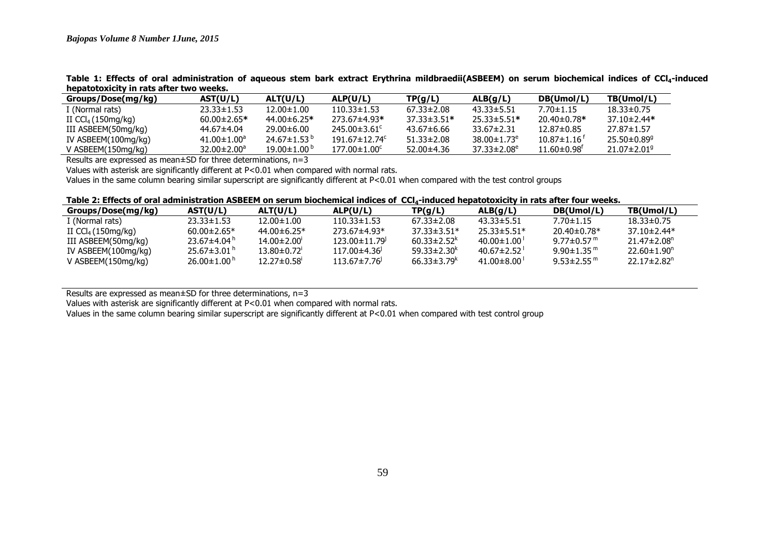| Groups/Dose(mg/kg)             | AST(U/L)                      | ALT(U/L)                      | ALP(U/L)                        | TP(g/L)           | ALB(q/L)                      | DB(Umol/L)                    | TB(Umol/L)        |
|--------------------------------|-------------------------------|-------------------------------|---------------------------------|-------------------|-------------------------------|-------------------------------|-------------------|
| I (Normal rats)                | $23.33 \pm 1.53$              | $12.00 \pm 1.00$              | $110.33 \pm 1.53$               | $67.33 \pm 2.08$  | $43.33 \pm 5.51$              | 7.70±1.15                     | 18.33±0.75        |
| II CCl <sub>4</sub> (150mg/kg) | $60.00 \pm 2.65*$             | $44.00\pm 6.25*$              | 273.67±4.93*                    | $37.33 \pm 3.51*$ | $25.33 \pm 5.51*$             | 20.40±0.78*                   | $37.10\pm2.44*$   |
| III ASBEEM(50mg/kg)            | 44.67±4.04                    | 29.00±6.00                    | $745.00 \pm 3.61$ <sup>c</sup>  | $43.67\pm 6.66$   | $33.67 \pm 2.31$              | $12.87 \pm 0.85$              | 27.87±1.57        |
| IV ASBEEM(100mg/kg)            | $41.00 \pm 1.00$ <sup>a</sup> | $74.67 \pm 1.53$ <sup>b</sup> | $191.67 \pm 12.74$ <sup>c</sup> | $51.33\pm2.08$    | $38.00 \pm 1.73$ <sup>e</sup> | $10.87 \pm 1.16$ <sup>t</sup> | $25.50 \pm 0.899$ |
| V ASBEEM(150mg/kg)             | $32.00 \pm 2.00$ <sup>a</sup> | $19.00 \pm 1.00$ $\degree$    | 177.00±1.00 <sup>c</sup>        | $52.00\pm4.36$    | $37.33 \pm 2.08^e$            | $11.60 \pm 0.98$ <sup>r</sup> | $21.07 \pm 2.019$ |
|                                |                               |                               |                                 |                   |                               |                               |                   |

**Table 1: Effects of oral administration of aqueous stem bark extract Erythrina mildbraedii(ASBEEM) on serum biochemical indices of CCl4-induced hepatotoxicity in rats after two weeks.** 

Results are expressed as mean±SD for three determinations, n=3

Values with asterisk are significantly different at P<0.01 when compared with normal rats.

Values in the same column bearing similar superscript are significantly different at P<0.01 when compared with the test control groups

| Table 2: Effects of oral administration ASBEEM on serum biochemical indices of CCI <sub>4</sub> -induced hepatotoxicity in rats after four weeks. |  |
|---------------------------------------------------------------------------------------------------------------------------------------------------|--|
|---------------------------------------------------------------------------------------------------------------------------------------------------|--|

| Groups/Dose(mg/kg)             | AST(U/L)                      | ALT(U/L)         | ALP(U/L)           | TP(q/L)                       | ALB(q/L)          | DB(Umol/L)                   | TB(Umol/L)                    |
|--------------------------------|-------------------------------|------------------|--------------------|-------------------------------|-------------------|------------------------------|-------------------------------|
| I (Normal rats).               | $23.33 \pm 1.53$              | $12.00 \pm 1.00$ | $110.33 \pm 1.53$  | $67.33 \pm 2.08$              | $43.33 \pm 5.51$  | $7.70 \pm 1.15$              | $18.33 \pm 0.75$              |
| II CCl <sub>4</sub> (150mg/kg) | $60.00 \pm 2.65*$             | $44.00\pm 6.25*$ | 273.67±4.93*       | $37.33 \pm 3.51*$             | $25.33 \pm 5.51*$ | $20.40\pm0.78*$              | $37.10\pm2.44*$               |
| III ASBEEM(50mg/kg)            | $23.67 \pm 4.04$ <sup>n</sup> | $14.00 \pm 2.00$ | $123.00 \pm 11.79$ | $60.33 \pm 2.52$ <sup>K</sup> | $40.00 \pm 1.00$  | 9.77 $\pm$ 0.57 $^{\rm m}$   | $21.47 \pm 2.08$ <sup>n</sup> |
| IV ASBEEM(100mg/kg)            | $25.67 \pm 3.01$ <sup>n</sup> | $13.80 \pm 0.72$ | $117.00\pm4.36$    | $59.33 \pm 2.30^{\circ}$      | $40.67 \pm 2.52$  | $9.90 \pm 1.35$ <sup>m</sup> | $22.60 \pm 1.90$ <sup>n</sup> |
| V ASBEEM $(150mg/kg)$          | $26.00 \pm 1.00$ <sup>h</sup> | $12.27 \pm 0.58$ | $113.67 \pm 7.76$  | $66.33 \pm 3.79$ <sup>K</sup> | $41.00 \pm 8.00$  | 9.53 ± 2.55 $^{\rm m}$       | $22.17 \pm 2.82$ <sup>n</sup> |

Results are expressed as mean±SD for three determinations, n=3

Values with asterisk are significantly different at P<0.01 when compared with normal rats.

Values in the same column bearing similar superscript are significantly different at P<0.01 when compared with test control group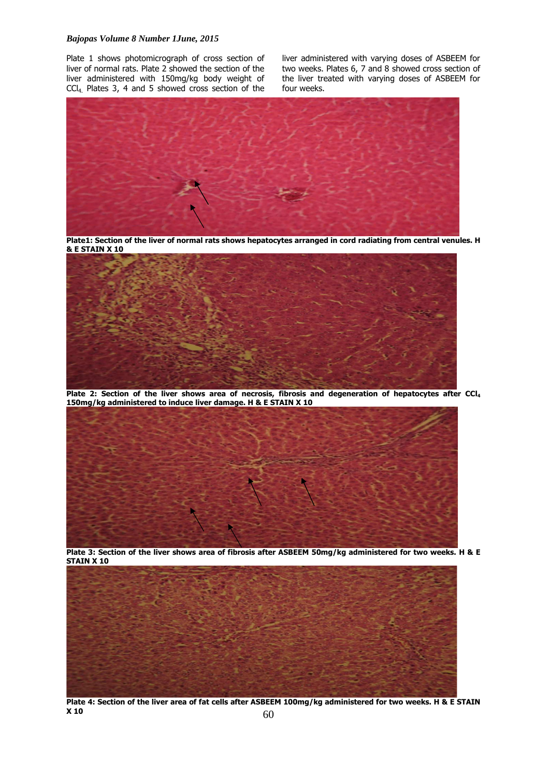# *Bajopas Volume 8 Number 1June, 2015*

Plate 1 shows photomicrograph of cross section of liver of normal rats. Plate 2 showed the section of the liver administered with 150mg/kg body weight of CCl4. Plates 3, 4 and 5 showed cross section of the

liver administered with varying doses of ASBEEM for two weeks. Plates 6, 7 and 8 showed cross section of the liver treated with varying doses of ASBEEM for four weeks.



**Plate1: Section of the liver of normal rats shows hepatocytes arranged in cord radiating from central venules. H & E STAIN X 10** 



**Plate 2: Section of the liver shows area of necrosis, fibrosis and degeneration of hepatocytes after CCl<sup>4</sup> 150mg/kg administered to induce liver damage. H & E STAIN X 10** 



**Plate 3: Section of the liver shows area of fibrosis after ASBEEM 50mg/kg administered for two weeks. H & E STAIN X 10** 



**Plate 4: Section of the liver area of fat cells after ASBEEM 100mg/kg administered for two weeks. H & E STAIN X 10 X 10** 60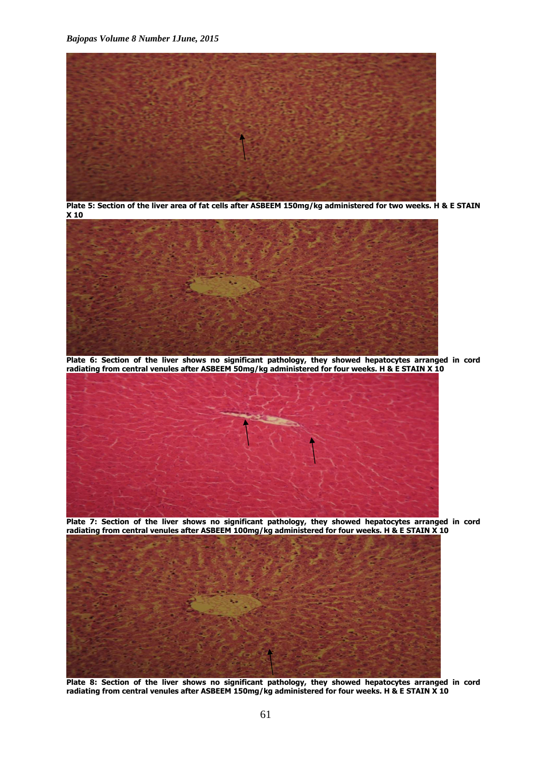

**Plate 5: Section of the liver area of fat cells after ASBEEM 150mg/kg administered for two weeks. H & E STAIN X 10** 



Plate 6: Section of the liver shows no significant pathology, they showed hepatocytes arranged in cord **radiating from central venules after ASBEEM 50mg/kg administered for four weeks. H & E STAIN X 10** 



**Plate 7: Section of the liver shows no significant pathology, they showed hepatocytes arranged in cord radiating from central venules after ASBEEM 100mg/kg administered for four weeks. H & E STAIN X 10** 



**Plate 8: Section of the liver shows no significant pathology, they showed hepatocytes arranged in cord radiating from central venules after ASBEEM 150mg/kg administered for four weeks. H & E STAIN X 10**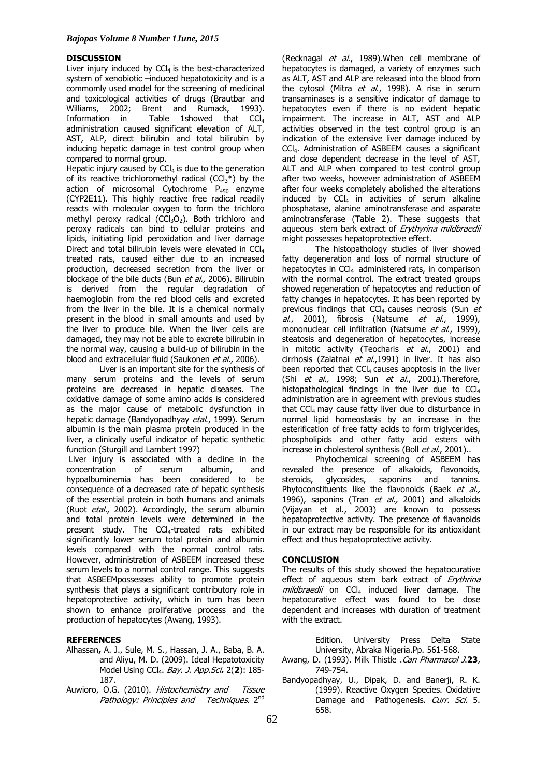## **DISCUSSION**

Liver injury induced by  $CCL$  is the best-characterized system of xenobiotic –induced hepatotoxicity and is a commomly used model for the screening of medicinal and toxicological activities of drugs (Brautbar and Williams, 2002; Brent and Rumack, 1993). Information in Table 1showed that CCl<sup>4</sup> administration caused significant elevation of ALT, AST, ALP, direct bilirubin and total bilirubin by inducing hepatic damage in test control group when compared to normal group.

Hepatic injury caused by  $CCl<sub>4</sub>$  is due to the generation of its reactive trichloromethyl radical  $(CCl<sub>3</sub><sup>*</sup>)$  by the action of microsomal Cytochrome  $P_{450}$  enzyme (CYP2E11). This highly reactive free radical readily reacts with molecular oxygen to form the trichloro methyl peroxy radical (CCl<sub>3</sub>O<sub>2</sub>). Both trichloro and peroxy radicals can bind to cellular proteins and lipids, initiating lipid peroxidation and liver damage Direct and total bilirubin levels were elevated in CCL4 treated rats, caused either due to an increased production, decreased secretion from the liver or blockage of the bile ducts (Bun et al., 2006). Bilirubin is derived from the regular degradation of haemoglobin from the red blood cells and excreted from the liver in the bile. It is a chemical normally present in the blood in small amounts and used by the liver to produce bile. When the liver cells are damaged, they may not be able to excrete bilirubin in the normal way, causing a build-up of bilirubin in the blood and extracellular fluid (Saukonen et al., 2006).

Liver is an important site for the synthesis of many serum proteins and the levels of serum proteins are decreased in hepatic diseases. The oxidative damage of some amino acids is considered as the major cause of metabolic dysfunction in hepatic damage (Bandyopadhyay etal., 1999). Serum albumin is the main plasma protein produced in the liver, a clinically useful indicator of hepatic synthetic function (Sturgill and Lambert 1997)

 Liver injury is associated with a decline in the concentration of serum albumin, and hypoalbuminemia has been considered to be consequence of a decreased rate of hepatic synthesis of the essential protein in both humans and animals (Ruot etal., 2002). Accordingly, the serum albumin and total protein levels were determined in the present study. The CCl<sub>4</sub>-treated rats exhibited significantly lower serum total protein and albumin levels compared with the normal control rats. However, administration of ASBEEM increased these serum levels to a normal control range. This suggests that ASBEEMpossesses ability to promote protein synthesis that plays a significant contributory role in hepatoprotective activity, which in turn has been shown to enhance proliferative process and the production of hepatocytes (Awang, 1993).

# **REFERENCES**

- Alhassan**,** A. J., Sule, M. S., Hassan, J. A., Baba, B. A. and Aliyu, M. D. (2009). Ideal Hepatotoxicity Model Using CCl4. Bay. J. App.Sci**.** 2(**2**): 185- 187.
- Auwioro, O.G. (2010). Histochemistry and Tissue Pathology: Principles and Techniques. 2<sup>nd</sup>

(Recknagal et al., 1989). When cell membrane of hepatocytes is damaged, a variety of enzymes such as ALT, AST and ALP are released into the blood from the cytosol (Mitra et al., 1998). A rise in serum transaminases is a sensitive indicator of damage to hepatocytes even if there is no evident hepatic impairment. The increase in ALT, AST and ALP activities observed in the test control group is an indication of the extensive liver damage induced by CCl4. Administration of ASBEEM causes a significant and dose dependent decrease in the level of AST, ALT and ALP when compared to test control group after two weeks, however administration of ASBEEM after four weeks completely abolished the alterations induced by  $CCI<sub>4</sub>$  in activities of serum alkaline phosphatase, alanine aminotransferase and asparate aminotransferase (Table 2). These suggests that aqueous stem bark extract of Erythyrina mildbraedii might possesses hepatoprotective effect.

The histopathology studies of liver showed fatty degeneration and loss of normal structure of hepatocytes in CCl<sub>4</sub> administered rats, in comparison with the normal control. The extract treated groups showed regeneration of hepatocytes and reduction of fatty changes in hepatocytes. It has been reported by previous findings that  $CCl<sub>4</sub>$  causes necrosis (Sun et  $al., 2001),$  fibrosis (Natsume *et al.*, 1999), mononuclear cell infiltration (Natsume et al., 1999), steatosis and degeneration of hepatocytes, increase in mitotic activity (Teocharis et al., 2001) and cirrhosis (Zalatnai et al.,1991) in liver. It has also been reported that  $CCI<sub>4</sub>$  causes apoptosis in the liver (Shi et al., 1998; Sun et al., 2001). Therefore, histopathological findings in the liver due to CCl<sub>4</sub> administration are in agreement with previous studies that CCl<sub>4</sub> may cause fatty liver due to disturbance in normal lipid homeostasis by an increase in the esterification of free fatty acids to form triglycerides, phospholipids and other fatty acid esters with increase in cholesterol synthesis (Boll et al., 2001)...

Phytochemical screening of ASBEEM has revealed the presence of alkaloids, flavonoids, steroids, alveosides, saponins and tannins. steroids, glycosides, saponins and tannins. Phytoconstituents like the flavonoids (Baek et al., 1996), saponins (Tran  $et$  al., 2001) and alkaloids (Vijayan et al., 2003) are known to possess hepatoprotective activity. The presence of flavanoids in our extract may be responsible for its antioxidant effect and thus hepatoprotective activity.

#### **CONCLUSION**

The results of this study showed the hepatocurative effect of aqueous stem bark extract of Erythrina  $mildbraedii$  on CCl<sub>4</sub> induced liver damage. The hepatocurative effect was found to be dose dependent and increases with duration of treatment with the extract.

> Edition. University Press Delta State University, Abraka Nigeria.Pp. 561-568.

- Awang, D. (1993). Milk Thistle .Can Pharmacol J.**23**, 749-754.
- Bandyopadhyay, U., Dipak, D. and Banerji, R. K. (1999). Reactive Oxygen Species. Oxidative Damage and Pathogenesis. Curr. Sci. 5. 658.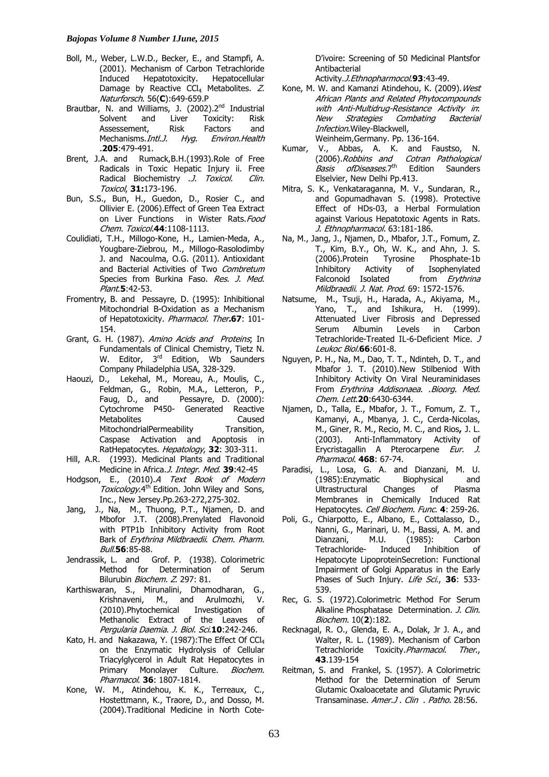- Boll, M., Weber, L.W.D., Becker, E., and Stampfi, A. (2001). Mechanism of Carbon Tetrachloride Induced Hepatotoxicity. Hepatocellular Damage by Reactive CCl<sub>4</sub> Metabolites.  $Z$ . Naturforsch. 56(**C**):649-659.P
- Brautbar, N. and Williams, J. (2002).2<sup>nd</sup> Industrial Solvent and Liver Toxicity: Risk Assessement, Risk Factors and Mechanisms.*Intl.J. Hyg. Environ.Health* .**205**:479-491.
- Brent, J.A. and Rumack,B.H.(1993).Role of Free Radicals in Toxic Hepatic Injury ii. Free Radical Biochemistry .J. Toxicol. Clin. Toxicol, **31:**173-196.
- Bun, S.S., Bun, H., Guedon, D., Rosier C., and Ollivier E. (2006).Effect of Green Tea Extract on Liver Functions in Wister Rats. Food Chem. Toxicol.**44**:1108-1113.
- Coulidiati, T.H., Millogo-Kone, H., Lamien-Meda, A., Yougbare-Ziebrou, M., Millogo-Rasolodimby J. and Nacoulma, O.G. (2011). Antioxidant and Bacterial Activities of Two Combretum Species from Burkina Faso. Res. J. Med. Plant.**5**:42-53.
- Fromentry, B. and Pessayre, D. (1995): Inhibitional Mitochondrial Β-Oxidation as a Mechanism of Hepatotoxicity. Pharmacol. Ther**.67**: 101- 154.
- Grant, G. H. (1987). Amino Acids and Proteins; In Fundamentals of Clinical Chemistry, Tietz N. W. Editor, 3<sup>rd</sup> Edition, Wb Saunders Company Philadelphia USA, 328-329.
- Haouzi, D., Lekehal, M., Moreau, A., Moulis, C., Feldman, G., Robin, M.A., Letteron, P.,<br>Faug, D., and Pessayre, D. (2000): Pessayre, D. (2000): Cytochrome P450- Generated Reactive Metabolites **Caused** MitochondrialPermeability Transition, Caspase Activation and Apoptosis in RatHepatocytes. Hepatology, **32**: 303-311.
- Hill, A.R. (1993). Medicinal Plants and Traditional Medicine in Africa.J. Integr. Med. **39**:42-45
- Hodgson, E., (2010).A Text Book of Modern Toxicology.4<sup>th</sup> Edition. John Wiley and Sons, Inc., New Jersey.Pp.263-272,275-302.
- Jang, J., Na, M., Thuong, P.T., Njamen, D. and Mbofor J.T. (2008).Prenylated Flavonoid with PTP1b Inhibitory Activity from Root Bark of Erythrina Mildbraedii. Chem. Pharm. Bull.**56**:85-88.
- Jendrassik, L. and Grof. P. (1938). Colorimetric Method for Determination of Serum Bilurubin Biochem. Z. 297: 81.
- Karthiswaran, S., Mirunalini, Dhamodharan, G., Krishnaveni, M., and Arulmozhi, V. (2010).Phytochemical Investigation of Methanolic Extract of the Leaves of Pergularia Daemia. J. Biol. Sci.**10**:242-246.
- Kato, H. and Nakazawa, Y. (1987):The Effect Of CCl<sup>4</sup> on the Enzymatic Hydrolysis of Cellular Triacylglycerol in Adult Rat Hepatocytes in Primary Monolayer Culture. Biochem. Pharmacol. **36**: 1807-1814.
- Kone, W. M., Atindehou, K. K., Terreaux, C., Hostettmann, K., Traore, D., and Dosso, M. (2004).Traditional Medicine in North Cote-

D'ivoire: Screening of 50 Medicinal Plantsfor Antibacterial

- Activity.J.Ethnopharmocol.**93**:43-49. Kone, M. W. and Kamanzi Atindehou, K. (2009). West African Plants and Related Phytocompounds with Anti-Multidrug-Resistance Activity in: New Strategies Combating Bacterial Infection.Wiley-Blackwell, Weinheim,Germany. Pp. 136-164.
- Kumar, V., Abbas, A. K. and Faustso, N. (2006).Robbins and Cotran Pathological Basis of Diseases.7<sup>th</sup> Edition Saunders Elselvier, New Delhi Pp.413.
- Mitra, S. K., Venkataraganna, M. V., Sundaran, R., and Gopumadhavan S. (1998). Protective Effect of HDs-03, a Herbal Formulation against Various Hepatotoxic Agents in Rats. J. Ethnopharmacol. 63:181-186.
- Na, M., Jang, J., Njamen, D., Mbafor, J.T., Fomum, Z. T., Kim, B.Y., Oh, W. K., and Ahn, J. S. (2006).Protein Tyrosine Phosphate-1b Inhibitory Activity of Isophenylated<br>Falconoid Isolated from *Erythrina* Falconoid Isolated Mildbraedii. J. Nat. Prod. 69: 1572-1576.
- Natsume, M., Tsuji, H., Harada, A., Akiyama, M., Yano, T., and Ishikura, H. (1999). Attenuated Liver Fibrosis and Depressed Serum Albumin Levels in Carbon Tetrachloride-Treated IL-6-Deficient Mice. J Leukoc Biol.**66**:601-8.
- Nguyen, P. H., Na, M., Dao, T. T., Ndinteh, D. T., and Mbafor J. T. (2010).New Stilbeniod With Inhibitory Activity On Viral Neuraminidases From Erythrina Addisonaea. .Bioorg. Med. Chem. Lett.**20**:6430-6344.
- Njamen, D., Talla, E., Mbafor, J. T., Fomum, Z. T., Kamanyi, A., Mbanya, J. C., Cerda-Nicolas, M., Giner, R. M., Recio, M. C., and Rios**,** J. L. (2003). Anti-Inflammatory Activity of Erycristagallin A Pterocarpene Eur. J. Pharmacol. **468**: 67-74.
- Paradisi, L., Losa, G. A. and Dianzani, M. U. (1985):Enzymatic Biophysical and Ultrastructural Changes of Plasma Membranes in Chemically Induced Rat Hepatocytes. Cell Biochem. Func. **4**: 259-26.
- Poli, G., Chiarpotto, E., Albano, E., Cottalasso, D., Nanni, G., Marinari, U. M., Bassi, A. M. and<br>Dianzani, M.U. (1985): Carbon Dianzani, Tetrachloride- Induced Inhibition of Hepatocyte LipoproteinSecretion: Functional Impairment of Golgi Apparatus in the Early Phases of Such Injury. Life Sci., 36: 533-539.
- Rec, G. S. (1972).Colorimetric Method For Serum Alkaline Phosphatase Determination. J. Clin. Biochem. 10(**2**):182.
- Recknagal, R. O., Glenda, E. A., Dolak, Jr J. A., and Walter, R. L. (1989). Mechanism of Carbon Tetrachloride Toxicity. Pharmacol. Ther., **43**.139-154
- Reitman, S. and Frankel, S. (1957). A Colorimetric Method for the Determination of Serum Glutamic Oxaloacetate and Glutamic Pyruvic Transaminase. Amer.J. Clin. Patho. 28:56.